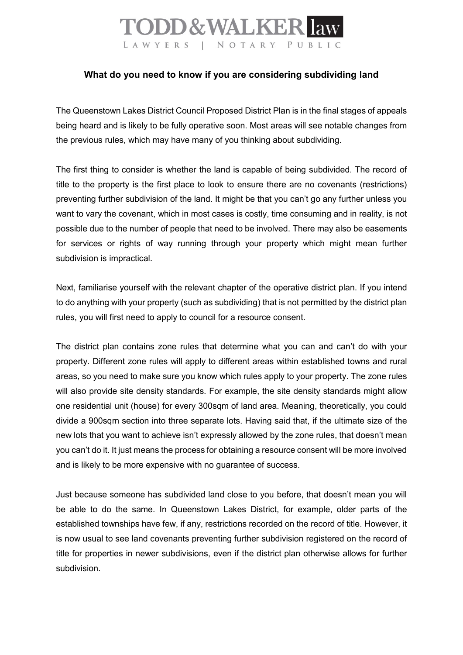## **TODD & WALKER law** LAWYERS | NOTARY PUBLIC

## **What do you need to know if you are considering subdividing land**

The Queenstown Lakes District Council Proposed District Plan is in the final stages of appeals being heard and is likely to be fully operative soon. Most areas will see notable changes from the previous rules, which may have many of you thinking about subdividing.

The first thing to consider is whether the land is capable of being subdivided. The record of title to the property is the first place to look to ensure there are no covenants (restrictions) preventing further subdivision of the land. It might be that you can't go any further unless you want to vary the covenant, which in most cases is costly, time consuming and in reality, is not possible due to the number of people that need to be involved. There may also be easements for services or rights of way running through your property which might mean further subdivision is impractical.

Next, familiarise yourself with the relevant chapter of the operative district plan. If you intend to do anything with your property (such as subdividing) that is not permitted by the district plan rules, you will first need to apply to council for a resource consent.

The district plan contains zone rules that determine what you can and can't do with your property. Different zone rules will apply to different areas within established towns and rural areas, so you need to make sure you know which rules apply to your property. The zone rules will also provide site density standards. For example, the site density standards might allow one residential unit (house) for every 300sqm of land area. Meaning, theoretically, you could divide a 900sqm section into three separate lots. Having said that, if the ultimate size of the new lots that you want to achieve isn't expressly allowed by the zone rules, that doesn't mean you can't do it. It just means the process for obtaining a resource consent will be more involved and is likely to be more expensive with no guarantee of success.

Just because someone has subdivided land close to you before, that doesn't mean you will be able to do the same. In Queenstown Lakes District, for example, older parts of the established townships have few, if any, restrictions recorded on the record of title. However, it is now usual to see land covenants preventing further subdivision registered on the record of title for properties in newer subdivisions, even if the district plan otherwise allows for further subdivision.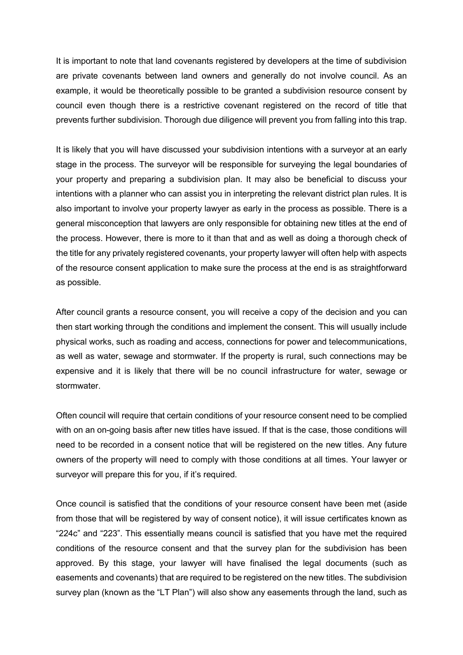It is important to note that land covenants registered by developers at the time of subdivision are private covenants between land owners and generally do not involve council. As an example, it would be theoretically possible to be granted a subdivision resource consent by council even though there is a restrictive covenant registered on the record of title that prevents further subdivision. Thorough due diligence will prevent you from falling into this trap.

It is likely that you will have discussed your subdivision intentions with a surveyor at an early stage in the process. The surveyor will be responsible for surveying the legal boundaries of your property and preparing a subdivision plan. It may also be beneficial to discuss your intentions with a planner who can assist you in interpreting the relevant district plan rules. It is also important to involve your property lawyer as early in the process as possible. There is a general misconception that lawyers are only responsible for obtaining new titles at the end of the process. However, there is more to it than that and as well as doing a thorough check of the title for any privately registered covenants, your property lawyer will often help with aspects of the resource consent application to make sure the process at the end is as straightforward as possible.

After council grants a resource consent, you will receive a copy of the decision and you can then start working through the conditions and implement the consent. This will usually include physical works, such as roading and access, connections for power and telecommunications, as well as water, sewage and stormwater. If the property is rural, such connections may be expensive and it is likely that there will be no council infrastructure for water, sewage or stormwater.

Often council will require that certain conditions of your resource consent need to be complied with on an on-going basis after new titles have issued. If that is the case, those conditions will need to be recorded in a consent notice that will be registered on the new titles. Any future owners of the property will need to comply with those conditions at all times. Your lawyer or survevor will prepare this for you, if it's required.

Once council is satisfied that the conditions of your resource consent have been met (aside from those that will be registered by way of consent notice), it will issue certificates known as "224c" and "223". This essentially means council is satisfied that you have met the required conditions of the resource consent and that the survey plan for the subdivision has been approved. By this stage, your lawyer will have finalised the legal documents (such as easements and covenants) that are required to be registered on the new titles. The subdivision survey plan (known as the "LT Plan") will also show any easements through the land, such as